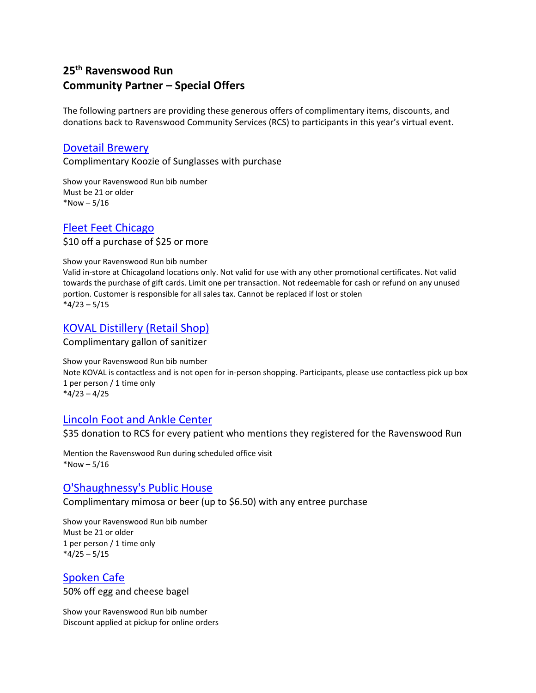# **25th Ravenswood Run Community Partner – Special Offers**

The following partners are providing these generous offers of complimentary items, discounts, and donations back to Ravenswood Community Services (RCS) to participants in this year's virtual event.

#### [Dovetail Brewery](https://dovetailbrewery.com/)

Complimentary Koozie of Sunglasses with purchase

Show your Ravenswood Run bib number Must be 21 or older \*Now  $-5/16$ 

# [Fleet Feet Chicago](https://www.fleetfeet.com/s/chicago/)

\$10 off a purchase of \$25 or more

Show your Ravenswood Run bib number

Valid in-store at Chicagoland locations only. Not valid for use with any other promotional certificates. Not valid towards the purchase of gift cards. Limit one per transaction. Not redeemable for cash or refund on any unused portion. Customer is responsible for all sales tax. Cannot be replaced if lost or stolen  $*4/23 - 5/15$ 

# [KOVAL Distillery \(Retail Shop\)](http://www.kovaldistillery.com/)

Complimentary gallon of sanitizer

Show your Ravenswood Run bib number Note KOVAL is contactless and is not open for in-person shopping. Participants, please use contactless pick up box 1 per person / 1 time only  $*4/23 - 4/25$ 

#### [Lincoln Foot and Ankle Center](https://lincolnfootandankle.com/)

\$35 donation to RCS for every patient who mentions they registered for the Ravenswood Run

Mention the Ravenswood Run during scheduled office visit  $*$ Now  $-5/16$ 

### [O'Shaughnessy's Public House](http://www.oshaughnessyschicago.com/)

Complimentary mimosa or beer (up to \$6.50) with any entree purchase

Show your Ravenswood Run bib number Must be 21 or older 1 per person / 1 time only  $*4/25 - 5/15$ 

[Spoken Cafe](https://www.toasttab.com/spoken-chicago/v3) 50% off egg and cheese bagel

Show your Ravenswood Run bib number Discount applied at pickup for online orders